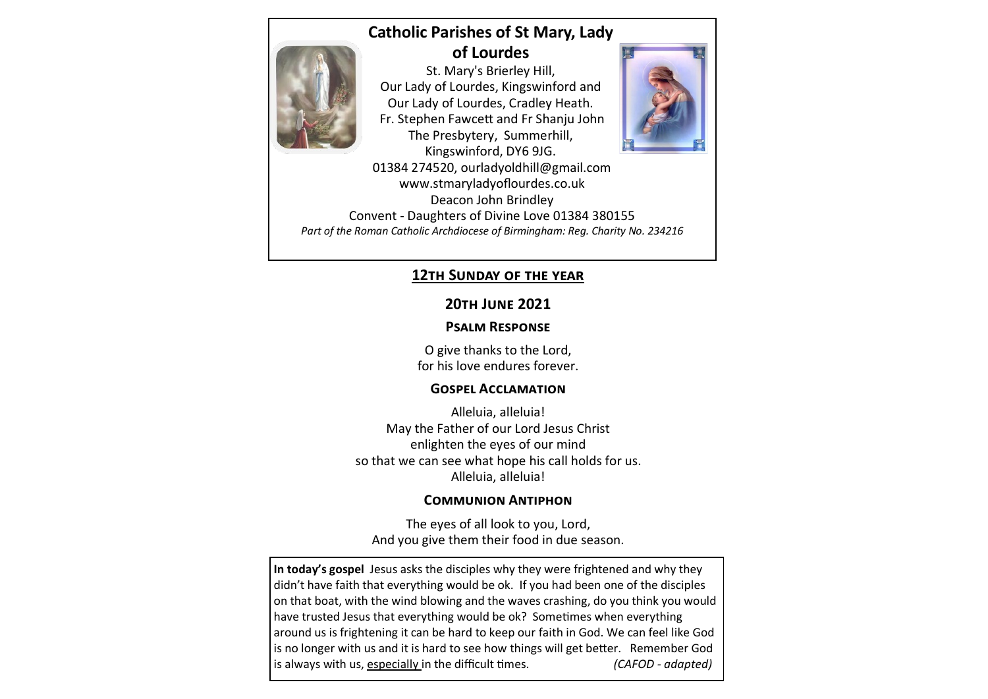# **Catholic Parishes of St Mary, Lady of Lourdes**



St. Mary's Brierley Hill, Our Lady of Lourdes, Kingswinford and Our Lady of Lourdes, Cradley Heath. Fr. Stephen Fawcett and Fr Shanju John The Presbytery, Summerhill, Kingswinford, DY6 9JG.



01384 274520, ourladyoldhill@gmail.com www.stmaryladyoflourdes.co.uk Deacon John Brindley Convent - Daughters of Divine Love 01384 380155 *Part of the Roman Catholic Archdiocese of Birmingham: Reg. Charity No. 234216*

#### **12th Sunday of the year**

## **20th June 2021**

### **Psalm Response**

O give thanks to the Lord, for his love endures forever.

#### **Gospel Acclamation**

Alleluia, alleluia! May the Father of our Lord Jesus Christ enlighten the eyes of our mind so that we can see what hope his call holds for us. Alleluia, alleluia!

#### **Communion Antiphon**

The eyes of all look to you, Lord, And you give them their food in due season.

**In today's gospel** Jesus asks the disciples why they were frightened and why they didn't have faith that everything would be ok. If you had been one of the disciples on that boat, with the wind blowing and the waves crashing, do you think you would have trusted Jesus that everything would be ok? Sometimes when everything around us is frightening it can be hard to keep our faith in God. We can feel like God is no longer with us and it is hard to see how things will get better. Remember God is always with us, especially in the difficult times. *(CAFOD - adapted)*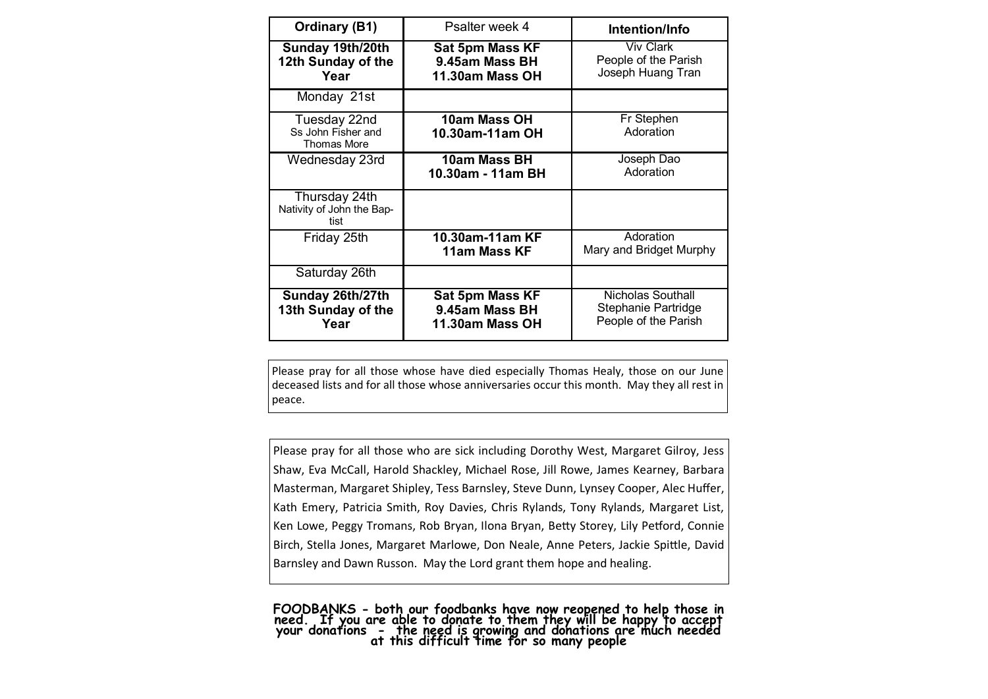| <b>Ordinary (B1)</b>                                     | Psalter week 4                                       | Intention/Info                                                   |
|----------------------------------------------------------|------------------------------------------------------|------------------------------------------------------------------|
| Sunday 19th/20th<br>12th Sunday of the<br>Year           | Sat 5pm Mass KF<br>9.45am Mass BH<br>11.30am Mass OH | <b>Viv Clark</b><br>People of the Parish<br>Joseph Huang Tran    |
| Monday 21st                                              |                                                      |                                                                  |
| Tuesday 22nd<br>Ss John Fisher and<br><b>Thomas More</b> | 10am Mass OH<br>10.30am-11am OH                      | Fr Stephen<br>Adoration                                          |
| Wednesday 23rd                                           | 10am Mass BH<br>10.30am - 11am BH                    | Joseph Dao<br>Adoration                                          |
| Thursday 24th<br>Nativity of John the Bap-<br>tist       |                                                      |                                                                  |
| Friday 25th                                              | 10.30am-11am KF<br>11am Mass KF                      | Adoration<br>Mary and Bridget Murphy                             |
| Saturday 26th                                            |                                                      |                                                                  |
| Sunday 26th/27th<br>13th Sunday of the<br>Year           | Sat 5pm Mass KF<br>9.45am Mass BH<br>11.30am Mass OH | Nicholas Southall<br>Stephanie Partridge<br>People of the Parish |

Please pray for all those whose have died especially Thomas Healy, those on our June deceased lists and for all those whose anniversaries occur this month. May they all rest in peace.

Please pray for all those who are sick including Dorothy West, Margaret Gilroy, Jess Shaw, Eva McCall, Harold Shackley, Michael Rose, Jill Rowe, James Kearney, Barbara Masterman, Margaret Shipley, Tess Barnsley, Steve Dunn, Lynsey Cooper, Alec Huffer, Kath Emery, Patricia Smith, Roy Davies, Chris Rylands, Tony Rylands, Margaret List, Ken Lowe, Peggy Tromans, Rob Bryan, Ilona Bryan, Betty Storey, Lily Petford, Connie Birch, Stella Jones, Margaret Marlowe, Don Neale, Anne Peters, Jackie Spittle, David Barnsley and Dawn Russon. May the Lord grant them hope and healing.

**FOODBANKS - both our foodbanks have now reopened to help those in need. If you are able to donate to them they will be happy to accept your donations - the need is growing and donations are much needed at this difficult time for so many people**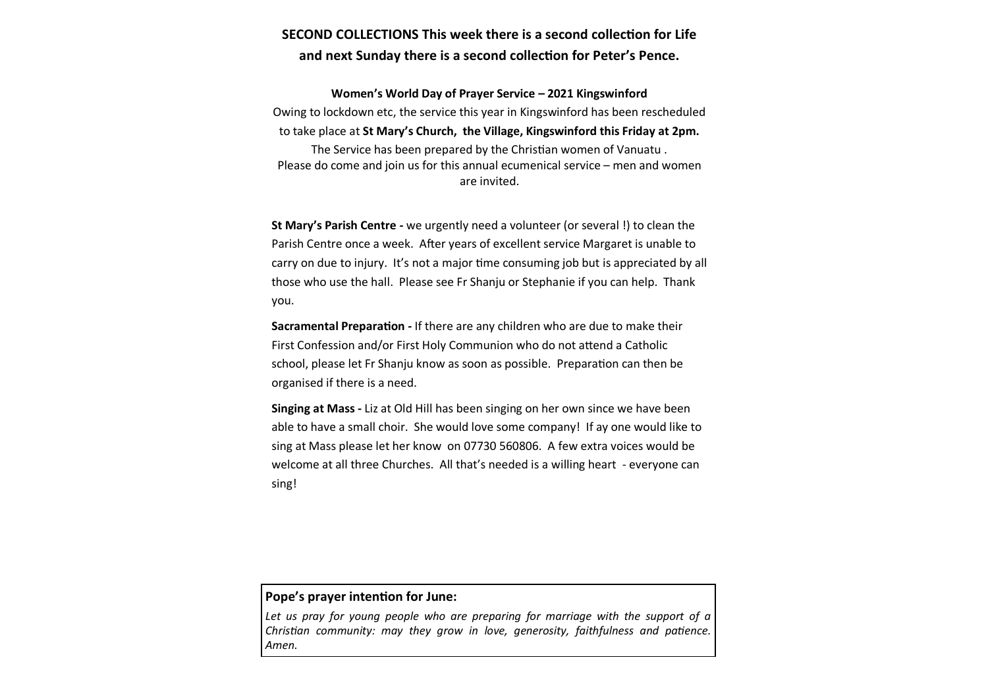#### **SECOND COLLECTIONS This week there is a second collection for Life and next Sunday there is a second collection for Peter's Pence.**

**Women's World Day of Prayer Service – 2021 Kingswinford**  Owing to lockdown etc, the service this year in Kingswinford has been rescheduled to take place at **St Mary's Church, the Village, Kingswinford this Friday at 2pm.** The Service has been prepared by the Christian women of Vanuatu . Please do come and join us for this annual ecumenical service – men and women are invited.

**St Mary's Parish Centre -** we urgently need a volunteer (or several !) to clean the Parish Centre once a week. After years of excellent service Margaret is unable to carry on due to injury. It's not a major time consuming job but is appreciated by all those who use the hall. Please see Fr Shanju or Stephanie if you can help. Thank you.

**Sacramental Preparation -** If there are any children who are due to make their First Confession and/or First Holy Communion who do not attend a Catholic school, please let Fr Shanju know as soon as possible. Preparation can then be organised if there is a need.

**Singing at Mass -** Liz at Old Hill has been singing on her own since we have been able to have a small choir. She would love some company! If ay one would like to sing at Mass please let her know on 07730 560806. A few extra voices would be welcome at all three Churches. All that's needed is a willing heart - everyone can sing!

#### **Pope's prayer intention for June:**

Let us pray for young people who are preparing for marriage with the support of a *Christian community: may they grow in love, generosity, faithfulness and patience. Amen.*